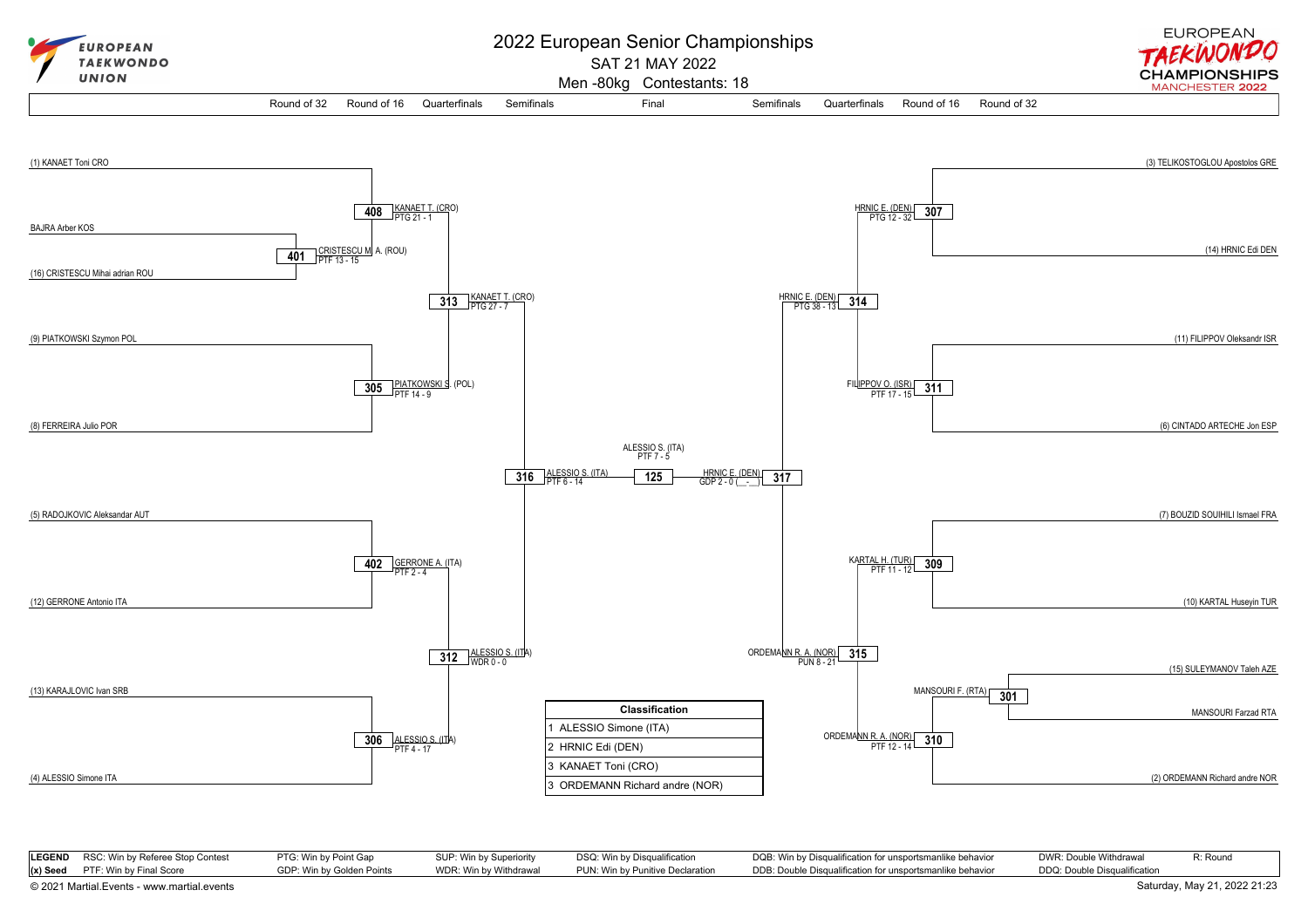

| LEGEND RSC: Win by Referee Stop Contest | PTG: Win by Point Gap     | SUP: Win by Superiority | DSQ: Win by Disqualification     | DQB: Win by Disqualification for unsportsmanlike behavior | DWR: Double Withdrawal       | R: Round |
|-----------------------------------------|---------------------------|-------------------------|----------------------------------|-----------------------------------------------------------|------------------------------|----------|
| $(x)$ Seed PTF: Win by Final Score      | GDP: Win by Golden Points | WDR: Win by Withdrawal  | PUN: Win bv Punitive Declaration | DDB: Double Disqualification for unsportsmanlike behavior | DDQ: Double Disqualification |          |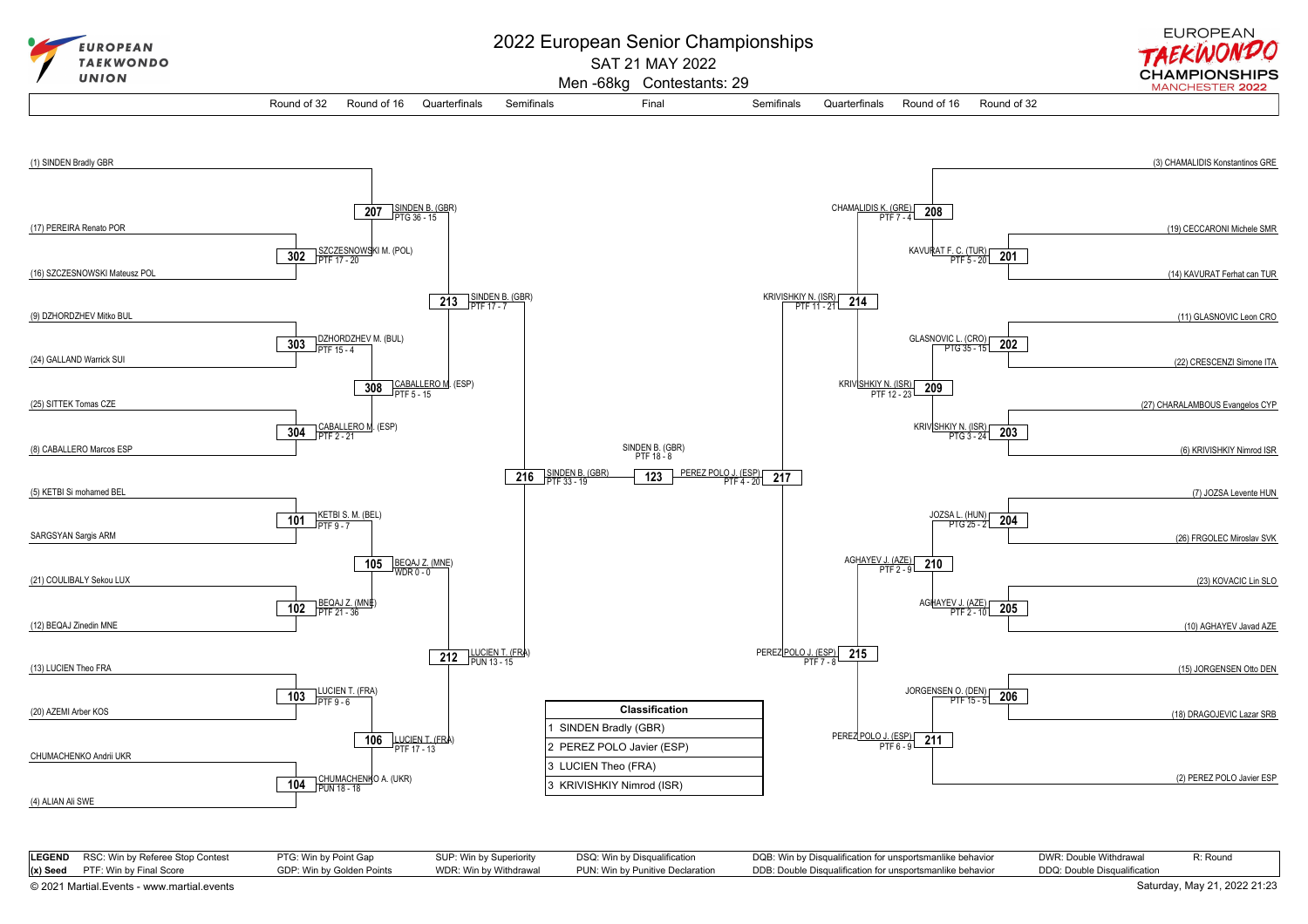

| <b>LEGEND</b> RSC: Win by Referee Stop Contest | PTG: Win by Point Gap     | SUP: Win by Superiority | DSQ: Win by Disqualification     | DQB: Win by Disqualification for unsportsmanlike behavior | DWR: Double Withdrawal       | R: Round |
|------------------------------------------------|---------------------------|-------------------------|----------------------------------|-----------------------------------------------------------|------------------------------|----------|
| $(x)$ Seed PTF: Win by Final Score             | GDP: Win by Golden Points | WDR: Win by Withdrawal  | PUN: Win by Punitive Declaration | DDB: Double Disqualification for unsportsmanlike behavior | DDQ: Double Disqualification |          |

[© 2021 Martial.Events - www.martial.events](https://www.martial.events) Saturday, May 21, 2022 21:23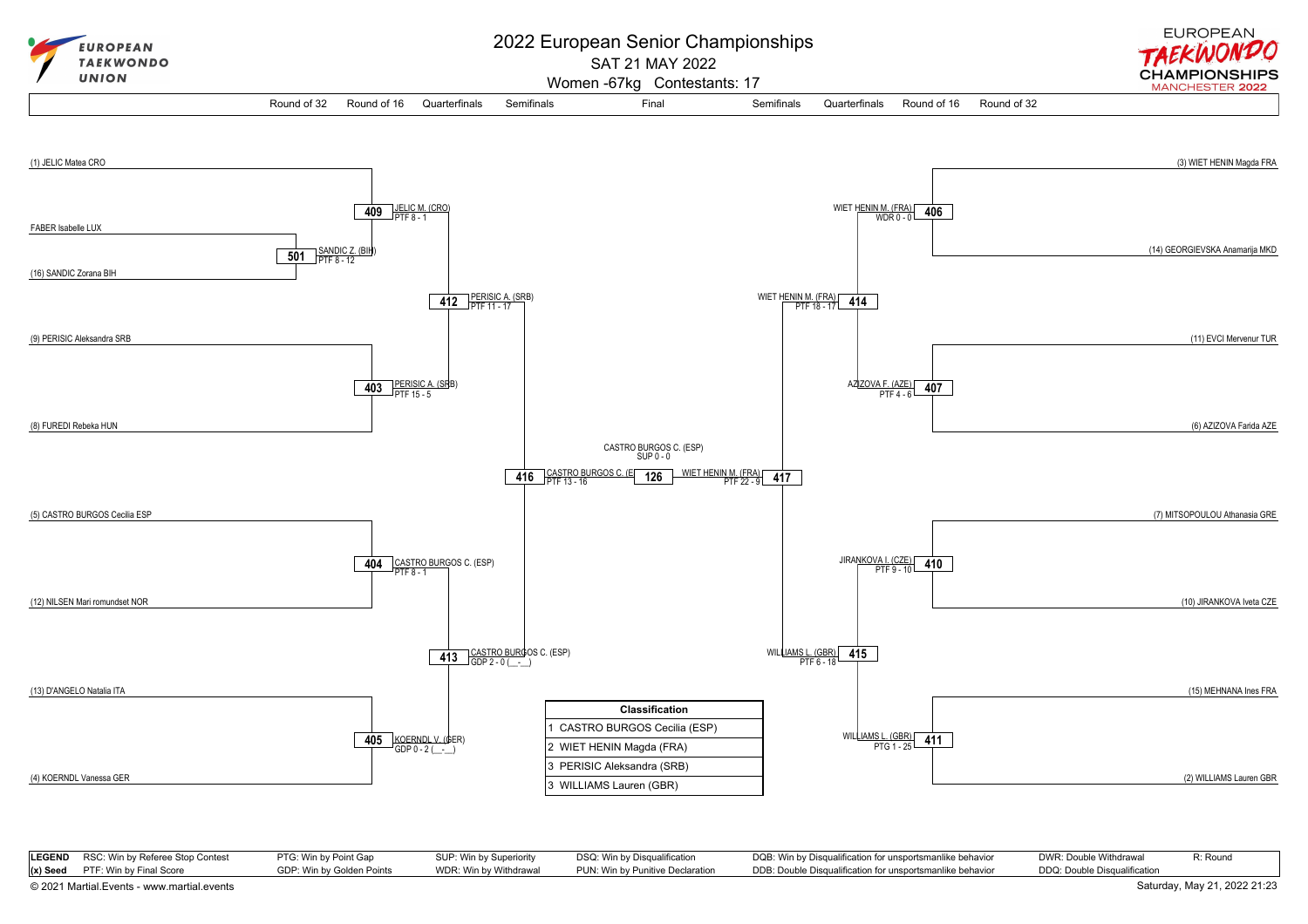

| <b>LEGEND</b> RSC: Win by Referee Stop Contest | PTG: Win by Point Gap     | SUP: Win by Superiority | DSQ: Win by Disqualification     | DQB: Win by Disqualification for unsportsmanlike behavior | DWR: Double Withdrawal       | R: Round |
|------------------------------------------------|---------------------------|-------------------------|----------------------------------|-----------------------------------------------------------|------------------------------|----------|
| $(x)$ Seed PTF: Win by Final Score             | GDP: Win by Golden Points | WDR: Win by Withdrawal  | PUN: Win by Punitive Declaration | DDB: Double Disqualification for unsportsmanlike behavior | DDQ: Double Disqualification |          |

[© 2021 Martial.Events - www.martial.events](https://www.martial.events) Saturday, May 21, 2022 21:23